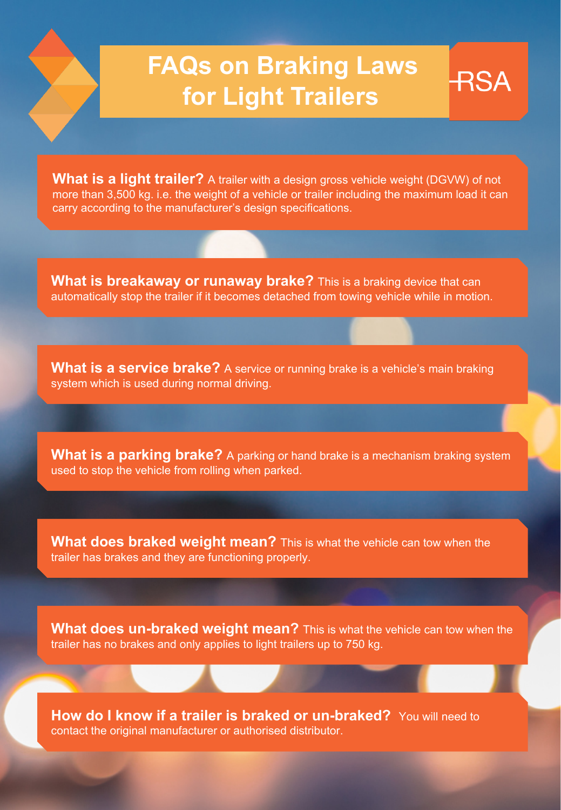## **FAQs on Braking Laws for Light Trailers**

RSA

**What is a light trailer?** A trailer with a design gross vehicle weight (DGVW) of not more than 3,500 kg. i.e. the weight of a vehicle or trailer including the maximum load it can carry according to the manufacturer's design specifications.

**What is breakaway or runaway brake?** This is a braking device that can automatically stop the trailer if it becomes detached from towing vehicle while in motion.

**What is a service brake?** A service or running brake is a vehicle's main braking system which is used during normal driving.

**What is a parking brake?** A parking or hand brake is a mechanism braking system used to stop the vehicle from rolling when parked.

**What does braked weight mean?** This is what the vehicle can tow when the trailer has brakes and they are functioning properly.

**What does un-braked weight mean?** This is what the vehicle can tow when the trailer has no brakes and only applies to light trailers up to 750 kg.

**How do I know if a trailer is braked or un-braked?** You will need to contact the original manufacturer or authorised distributor.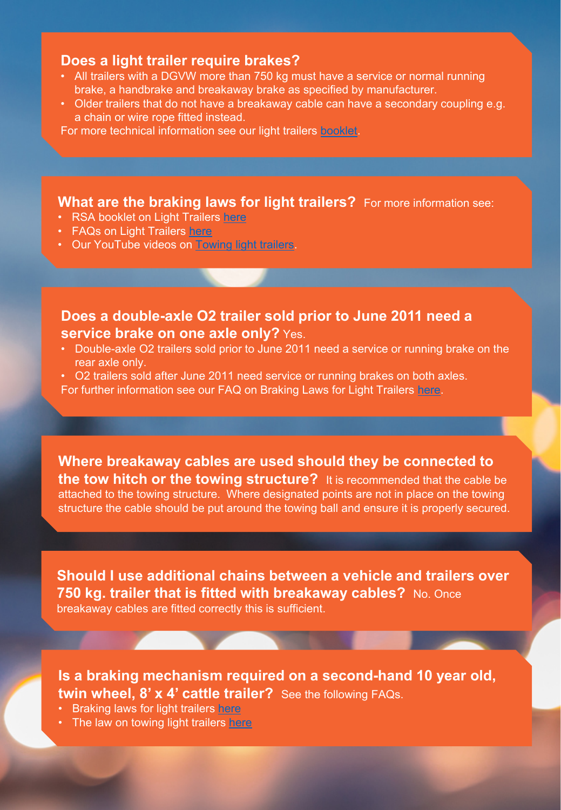## **Does a light trailer require brakes?**

- All trailers with a DGVW more than 750 kg must have a service or normal running brake, a handbrake and breakaway brake as specified by manufacturer.
- Older trailers that do not have a breakaway cable can have a secondary coupling e.g. a chain or wire rope fitted instead.

For more technical information see our light trailers **[booklet](https://rsa.ie/Documents/Vehicle%20Std%20Leg/Road%20Safety%20Advice%20for%20Drawing%20Light%20Trailers%20A5%20booklet%20Amends%209-12-15%20%20%20%20.pdf)**.

**What are the braking laws for light trailers?** For more information see:

- RSA booklet on Light Trailers [here](https://rsa.ie/Documents/Vehicle%20Std%20Leg/Road%20Safety%20Advice%20for%20Drawing%20Light%20Trailers%20A5%20booklet%20Amends%209-12-15%20%20%20%20.pdf)
- FAQs on Light Trailers [here](https://www.rsa.ie/Documents/VS_Information_Notes/Light%20Trailers_O1_O2/FAQs%20on%20Light%20Trailers.pdf)
- Our YouTube videos on [Towing light trailers](https://www.youtube.com/watch?v=HhHyUMSn31s&list=PLi8nqrsVU6htP1YK5ndBd7qr2WRgji530).

## **Does a double-axle O2 trailer sold prior to June 2011 need a service brake on one axle only?** Yes.

- Double-axle O2 trailers sold prior to June 2011 need a service or running brake on the rear axle only.
- O2 trailers sold after June 2011 need service or running brakes on both axles.

For further information see our FAQ on Braking Laws for Light Trailers [here](https://www.rsa.ie/Documents/VS_Information_Notes/Light%20Trailers_O1_O2/FAQs%20on%20Light%20Trailers.pdf).

**Where breakaway cables are used should they be connected to the tow hitch or the towing structure?** It is recommended that the cable be attached to the towing structure. Where designated points are not in place on the towing structure the cable should be put around the towing ball and ensure it is properly secured.

**Should I use additional chains between a vehicle and trailers over 750 kg. trailer that is fitted with breakaway cables?** No. Once breakaway cables are fitted correctly this is sufficient.

**Is a braking mechanism required on a second-hand 10 year old, twin wheel, 8' x 4' cattle trailer?** See the following FAQs.

- Braking laws for light trailers [here](https://www.rsa.ie/Documents/VS_Information_Notes/Light%20Trailers_O1_O2/FAQs%20on%20Braking%20Requirements%20for%20Light%20Trailers.pdf)
- The law on towing light trailers [here](https://www.rsa.ie/Documents/VS_Information_Notes/Light%20Trailers_O1_O2/FAQs%20on%20Light%20Trailers.pdf)